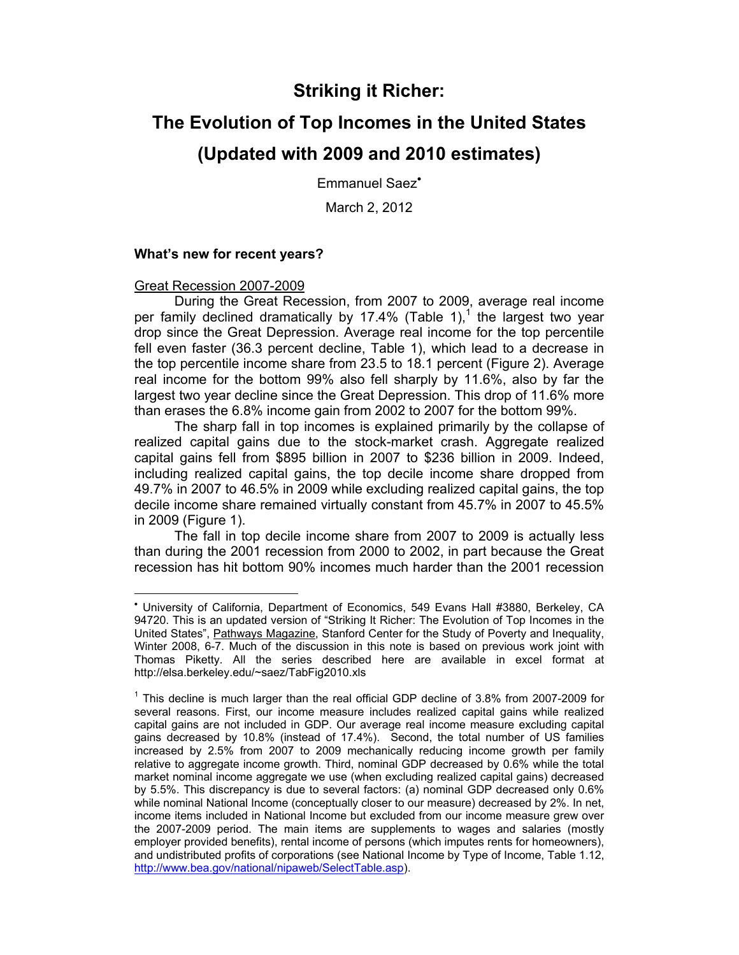# **Striking it Richer:**

# **The Evolution of Top Incomes in the United States (Updated with 2009 and 2010 estimates)**

Emmanuel Saez•

March 2, 2012

#### **What's new for recent years?**

#### Great Recession 2007-2009

-

 During the Great Recession, from 2007 to 2009, average real income per family declined dramatically by 17.4% (Table 1),<sup>1</sup> the largest two year drop since the Great Depression. Average real income for the top percentile fell even faster (36.3 percent decline, Table 1), which lead to a decrease in the top percentile income share from 23.5 to 18.1 percent (Figure 2). Average real income for the bottom 99% also fell sharply by 11.6%, also by far the largest two year decline since the Great Depression. This drop of 11.6% more than erases the 6.8% income gain from 2002 to 2007 for the bottom 99%.

 The sharp fall in top incomes is explained primarily by the collapse of realized capital gains due to the stock-market crash. Aggregate realized capital gains fell from \$895 billion in 2007 to \$236 billion in 2009. Indeed, including realized capital gains, the top decile income share dropped from 49.7% in 2007 to 46.5% in 2009 while excluding realized capital gains, the top decile income share remained virtually constant from 45.7% in 2007 to 45.5% in 2009 (Figure 1).

 The fall in top decile income share from 2007 to 2009 is actually less than during the 2001 recession from 2000 to 2002, in part because the Great recession has hit bottom 90% incomes much harder than the 2001 recession

<sup>•</sup> University of California, Department of Economics, 549 Evans Hall #3880, Berkeley, CA 94720. This is an updated version of "Striking It Richer: The Evolution of Top Incomes in the United States", Pathways Magazine, Stanford Center for the Study of Poverty and Inequality, Winter 2008, 6-7. Much of the discussion in this note is based on previous work joint with Thomas Piketty. All the series described here are available in excel format at http://elsa.berkeley.edu/~saez/TabFig2010.xls

 $1$  This decline is much larger than the real official GDP decline of 3.8% from 2007-2009 for several reasons. First, our income measure includes realized capital gains while realized capital gains are not included in GDP. Our average real income measure excluding capital gains decreased by 10.8% (instead of 17.4%). Second, the total number of US families increased by 2.5% from 2007 to 2009 mechanically reducing income growth per family relative to aggregate income growth. Third, nominal GDP decreased by 0.6% while the total market nominal income aggregate we use (when excluding realized capital gains) decreased by 5.5%. This discrepancy is due to several factors: (a) nominal GDP decreased only 0.6% while nominal National Income (conceptually closer to our measure) decreased by 2%. In net, income items included in National Income but excluded from our income measure grew over the 2007-2009 period. The main items are supplements to wages and salaries (mostly employer provided benefits), rental income of persons (which imputes rents for homeowners), and undistributed profits of corporations (see National Income by Type of Income, Table 1.12, http://www.bea.gov/national/nipaweb/SelectTable.asp).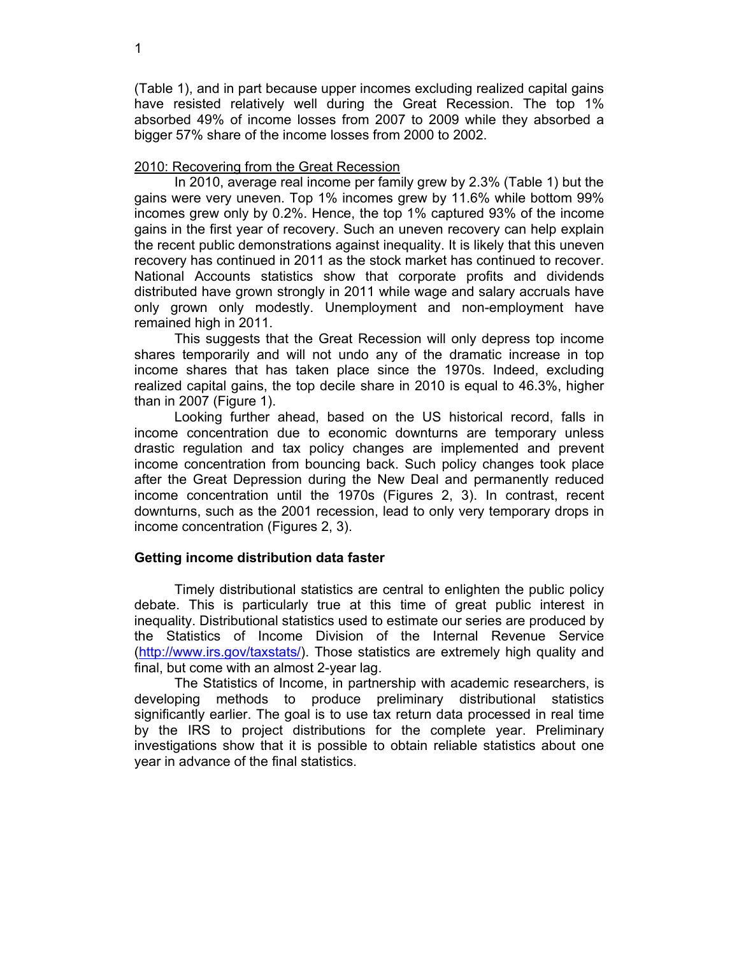(Table 1), and in part because upper incomes excluding realized capital gains have resisted relatively well during the Great Recession. The top 1% absorbed 49% of income losses from 2007 to 2009 while they absorbed a bigger 57% share of the income losses from 2000 to 2002.

#### 2010: Recovering from the Great Recession

 In 2010, average real income per family grew by 2.3% (Table 1) but the gains were very uneven. Top 1% incomes grew by 11.6% while bottom 99% incomes grew only by 0.2%. Hence, the top 1% captured 93% of the income gains in the first year of recovery. Such an uneven recovery can help explain the recent public demonstrations against inequality. It is likely that this uneven recovery has continued in 2011 as the stock market has continued to recover. National Accounts statistics show that corporate profits and dividends distributed have grown strongly in 2011 while wage and salary accruals have only grown only modestly. Unemployment and non-employment have remained high in 2011.

 This suggests that the Great Recession will only depress top income shares temporarily and will not undo any of the dramatic increase in top income shares that has taken place since the 1970s. Indeed, excluding realized capital gains, the top decile share in 2010 is equal to 46.3%, higher than in 2007 (Figure 1).

 Looking further ahead, based on the US historical record, falls in income concentration due to economic downturns are temporary unless drastic regulation and tax policy changes are implemented and prevent income concentration from bouncing back. Such policy changes took place after the Great Depression during the New Deal and permanently reduced income concentration until the 1970s (Figures 2, 3). In contrast, recent downturns, such as the 2001 recession, lead to only very temporary drops in income concentration (Figures 2, 3).

### **Getting income distribution data faster**

 Timely distributional statistics are central to enlighten the public policy debate. This is particularly true at this time of great public interest in inequality. Distributional statistics used to estimate our series are produced by the Statistics of Income Division of the Internal Revenue Service (http://www.irs.gov/taxstats/). Those statistics are extremely high quality and final, but come with an almost 2-year lag.

 The Statistics of Income, in partnership with academic researchers, is developing methods to produce preliminary distributional statistics significantly earlier. The goal is to use tax return data processed in real time by the IRS to project distributions for the complete year. Preliminary investigations show that it is possible to obtain reliable statistics about one year in advance of the final statistics.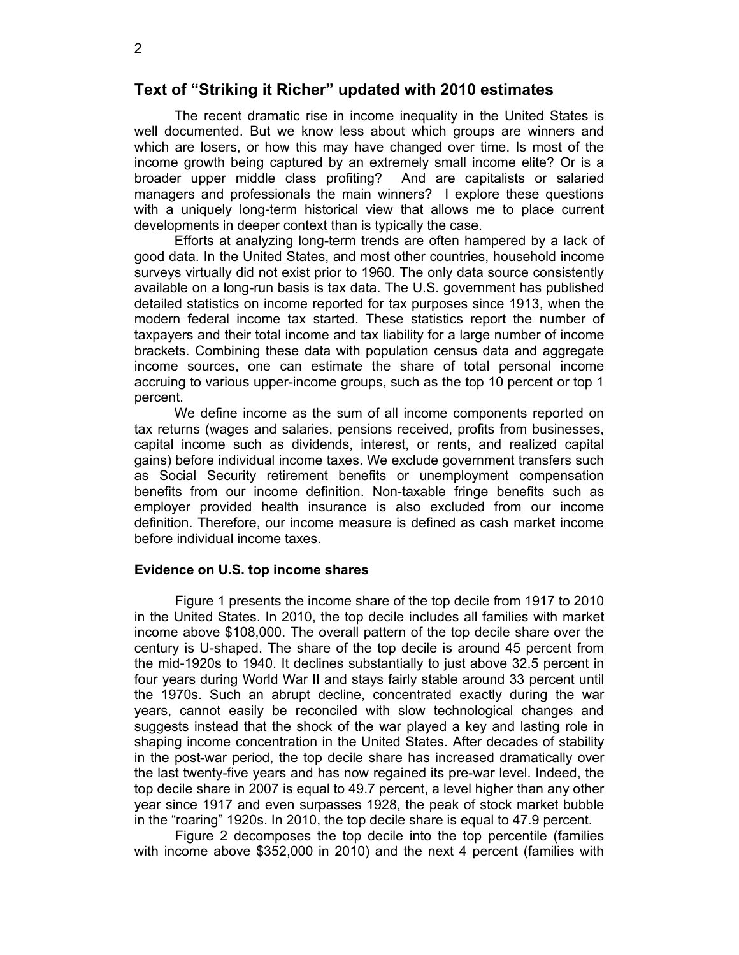### **Text of "Striking it Richer" updated with 2010 estimates**

The recent dramatic rise in income inequality in the United States is well documented. But we know less about which groups are winners and which are losers, or how this may have changed over time. Is most of the income growth being captured by an extremely small income elite? Or is a broader upper middle class profiting? And are capitalists or salaried managers and professionals the main winners? I explore these questions with a uniquely long-term historical view that allows me to place current developments in deeper context than is typically the case.

Efforts at analyzing long-term trends are often hampered by a lack of good data. In the United States, and most other countries, household income surveys virtually did not exist prior to 1960. The only data source consistently available on a long-run basis is tax data. The U.S. government has published detailed statistics on income reported for tax purposes since 1913, when the modern federal income tax started. These statistics report the number of taxpayers and their total income and tax liability for a large number of income brackets. Combining these data with population census data and aggregate income sources, one can estimate the share of total personal income accruing to various upper-income groups, such as the top 10 percent or top 1 percent.

We define income as the sum of all income components reported on tax returns (wages and salaries, pensions received, profits from businesses, capital income such as dividends, interest, or rents, and realized capital gains) before individual income taxes. We exclude government transfers such as Social Security retirement benefits or unemployment compensation benefits from our income definition. Non-taxable fringe benefits such as employer provided health insurance is also excluded from our income definition. Therefore, our income measure is defined as cash market income before individual income taxes.

#### **Evidence on U.S. top income shares**

Figure 1 presents the income share of the top decile from 1917 to 2010 in the United States. In 2010, the top decile includes all families with market income above \$108,000. The overall pattern of the top decile share over the century is U-shaped. The share of the top decile is around 45 percent from the mid-1920s to 1940. It declines substantially to just above 32.5 percent in four years during World War II and stays fairly stable around 33 percent until the 1970s. Such an abrupt decline, concentrated exactly during the war years, cannot easily be reconciled with slow technological changes and suggests instead that the shock of the war played a key and lasting role in shaping income concentration in the United States. After decades of stability in the post-war period, the top decile share has increased dramatically over the last twenty-five years and has now regained its pre-war level. Indeed, the top decile share in 2007 is equal to 49.7 percent, a level higher than any other year since 1917 and even surpasses 1928, the peak of stock market bubble in the "roaring" 1920s. In 2010, the top decile share is equal to 47.9 percent.

Figure 2 decomposes the top decile into the top percentile (families with income above \$352,000 in 2010) and the next 4 percent (families with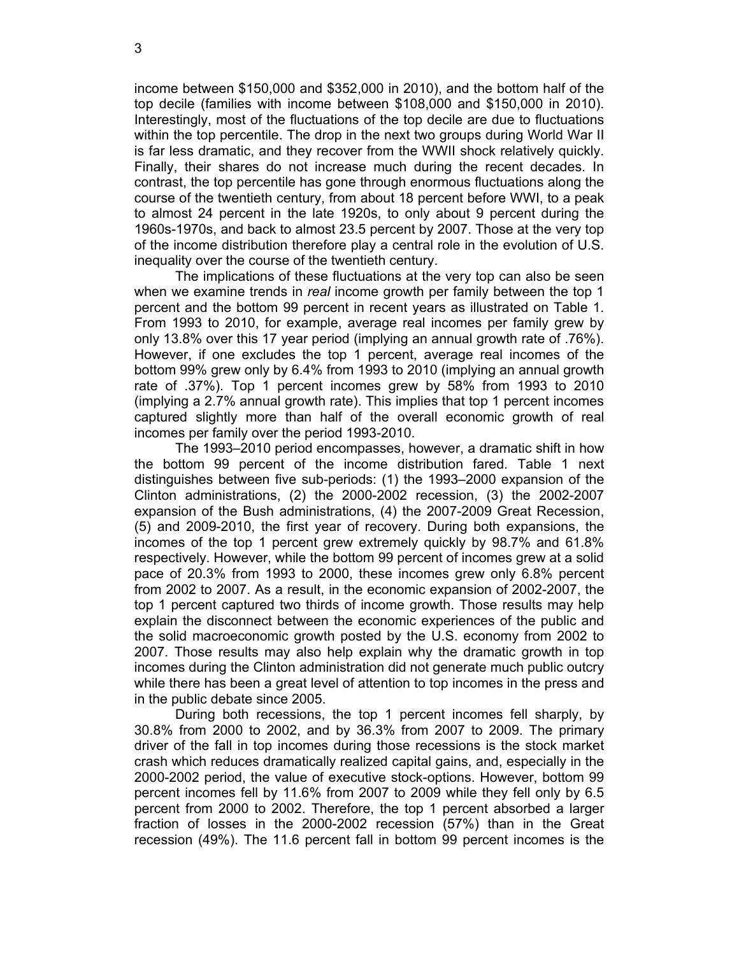income between \$150,000 and \$352,000 in 2010), and the bottom half of the top decile (families with income between \$108,000 and \$150,000 in 2010). Interestingly, most of the fluctuations of the top decile are due to fluctuations within the top percentile. The drop in the next two groups during World War II is far less dramatic, and they recover from the WWII shock relatively quickly. Finally, their shares do not increase much during the recent decades. In contrast, the top percentile has gone through enormous fluctuations along the course of the twentieth century, from about 18 percent before WWI, to a peak to almost 24 percent in the late 1920s, to only about 9 percent during the 1960s-1970s, and back to almost 23.5 percent by 2007. Those at the very top of the income distribution therefore play a central role in the evolution of U.S. inequality over the course of the twentieth century.

The implications of these fluctuations at the very top can also be seen when we examine trends in *real* income growth per family between the top 1 percent and the bottom 99 percent in recent years as illustrated on Table 1. From 1993 to 2010, for example, average real incomes per family grew by only 13.8% over this 17 year period (implying an annual growth rate of .76%). However, if one excludes the top 1 percent, average real incomes of the bottom 99% grew only by 6.4% from 1993 to 2010 (implying an annual growth rate of .37%). Top 1 percent incomes grew by 58% from 1993 to 2010 (implying a 2.7% annual growth rate). This implies that top 1 percent incomes captured slightly more than half of the overall economic growth of real incomes per family over the period 1993-2010.

The 1993–2010 period encompasses, however, a dramatic shift in how the bottom 99 percent of the income distribution fared. Table 1 next distinguishes between five sub-periods: (1) the 1993–2000 expansion of the Clinton administrations, (2) the 2000-2002 recession, (3) the 2002-2007 expansion of the Bush administrations, (4) the 2007-2009 Great Recession, (5) and 2009-2010, the first year of recovery. During both expansions, the incomes of the top 1 percent grew extremely quickly by 98.7% and 61.8% respectively. However, while the bottom 99 percent of incomes grew at a solid pace of 20.3% from 1993 to 2000, these incomes grew only 6.8% percent from 2002 to 2007. As a result, in the economic expansion of 2002-2007, the top 1 percent captured two thirds of income growth. Those results may help explain the disconnect between the economic experiences of the public and the solid macroeconomic growth posted by the U.S. economy from 2002 to 2007. Those results may also help explain why the dramatic growth in top incomes during the Clinton administration did not generate much public outcry while there has been a great level of attention to top incomes in the press and in the public debate since 2005.

During both recessions, the top 1 percent incomes fell sharply, by 30.8% from 2000 to 2002, and by 36.3% from 2007 to 2009. The primary driver of the fall in top incomes during those recessions is the stock market crash which reduces dramatically realized capital gains, and, especially in the 2000-2002 period, the value of executive stock-options. However, bottom 99 percent incomes fell by 11.6% from 2007 to 2009 while they fell only by 6.5 percent from 2000 to 2002. Therefore, the top 1 percent absorbed a larger fraction of losses in the 2000-2002 recession (57%) than in the Great recession (49%). The 11.6 percent fall in bottom 99 percent incomes is the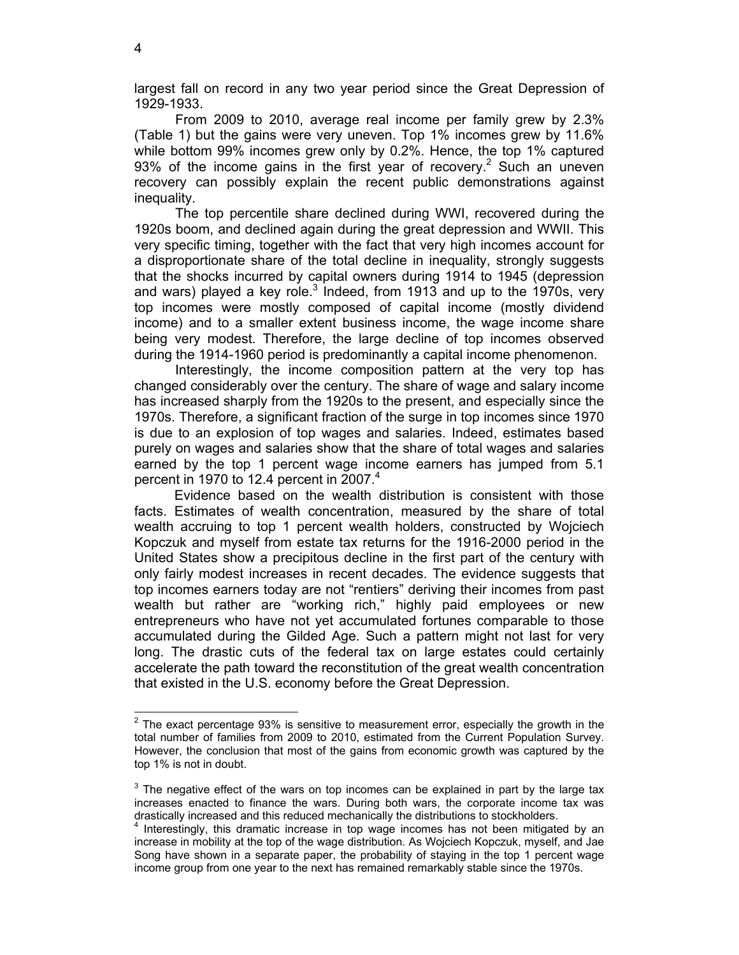largest fall on record in any two year period since the Great Depression of 1929-1933.

From 2009 to 2010, average real income per family grew by 2.3% (Table 1) but the gains were very uneven. Top 1% incomes grew by 11.6% while bottom 99% incomes grew only by 0.2%. Hence, the top 1% captured 93% of the income gains in the first year of recovery.<sup>2</sup> Such an uneven recovery can possibly explain the recent public demonstrations against inequality.

The top percentile share declined during WWI, recovered during the 1920s boom, and declined again during the great depression and WWII. This very specific timing, together with the fact that very high incomes account for a disproportionate share of the total decline in inequality, strongly suggests that the shocks incurred by capital owners during 1914 to 1945 (depression and wars) played a key role.<sup>3</sup> Indeed, from 1913 and up to the 1970s, very top incomes were mostly composed of capital income (mostly dividend income) and to a smaller extent business income, the wage income share being very modest. Therefore, the large decline of top incomes observed during the 1914-1960 period is predominantly a capital income phenomenon.

Interestingly, the income composition pattern at the very top has changed considerably over the century. The share of wage and salary income has increased sharply from the 1920s to the present, and especially since the 1970s. Therefore, a significant fraction of the surge in top incomes since 1970 is due to an explosion of top wages and salaries. Indeed, estimates based purely on wages and salaries show that the share of total wages and salaries earned by the top 1 percent wage income earners has jumped from 5.1 percent in 1970 to 12.4 percent in 2007. $4$ 

 Evidence based on the wealth distribution is consistent with those facts. Estimates of wealth concentration, measured by the share of total wealth accruing to top 1 percent wealth holders, constructed by Wojciech Kopczuk and myself from estate tax returns for the 1916-2000 period in the United States show a precipitous decline in the first part of the century with only fairly modest increases in recent decades. The evidence suggests that top incomes earners today are not "rentiers" deriving their incomes from past wealth but rather are "working rich," highly paid employees or new entrepreneurs who have not yet accumulated fortunes comparable to those accumulated during the Gilded Age. Such a pattern might not last for very long. The drastic cuts of the federal tax on large estates could certainly accelerate the path toward the reconstitution of the great wealth concentration that existed in the U.S. economy before the Great Depression.

**ENET 2012**<br><sup>2</sup> The exact percentage 93% is sensitive to measurement error, especially the growth in the total number of families from 2009 to 2010, estimated from the Current Population Survey. However, the conclusion that most of the gains from economic growth was captured by the top 1% is not in doubt.

 $3$  The negative effect of the wars on top incomes can be explained in part by the large tax increases enacted to finance the wars. During both wars, the corporate income tax was drastically increased and this reduced mechanically the distributions to stockholders.

<sup>&</sup>lt;sup>4</sup> Interestingly, this dramatic increase in top wage incomes has not been mitigated by an increase in mobility at the top of the wage distribution. As Wojciech Kopczuk, myself, and Jae Song have shown in a separate paper, the probability of staying in the top 1 percent wage income group from one year to the next has remained remarkably stable since the 1970s.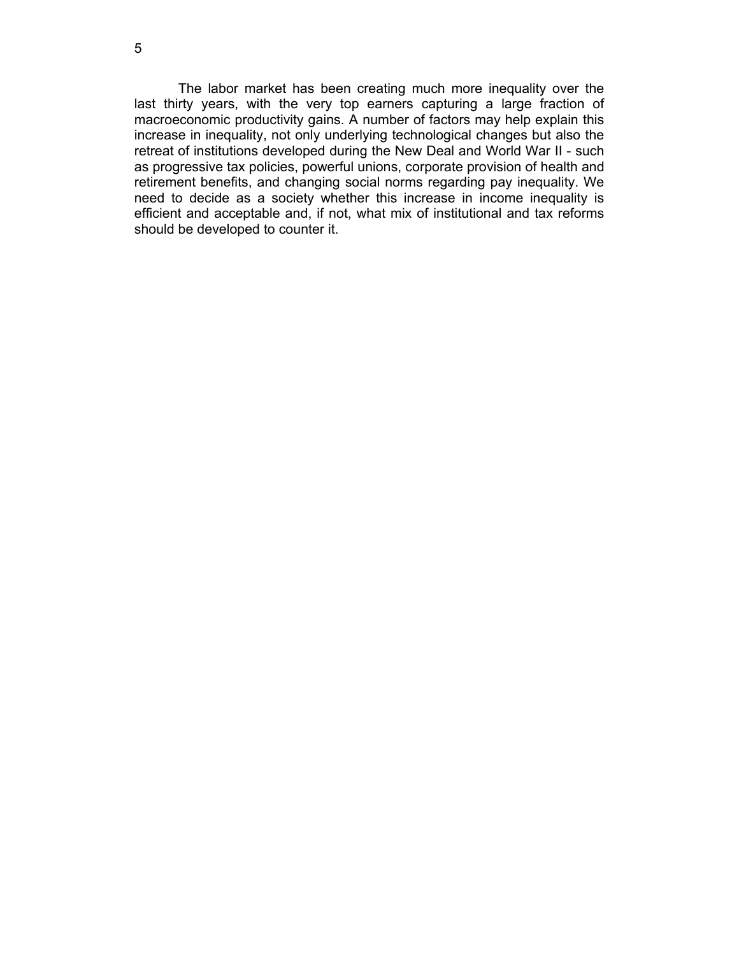The labor market has been creating much more inequality over the last thirty years, with the very top earners capturing a large fraction of macroeconomic productivity gains. A number of factors may help explain this increase in inequality, not only underlying technological changes but also the retreat of institutions developed during the New Deal and World War II - such as progressive tax policies, powerful unions, corporate provision of health and retirement benefits, and changing social norms regarding pay inequality. We need to decide as a society whether this increase in income inequality is efficient and acceptable and, if not, what mix of institutional and tax reforms should be developed to counter it.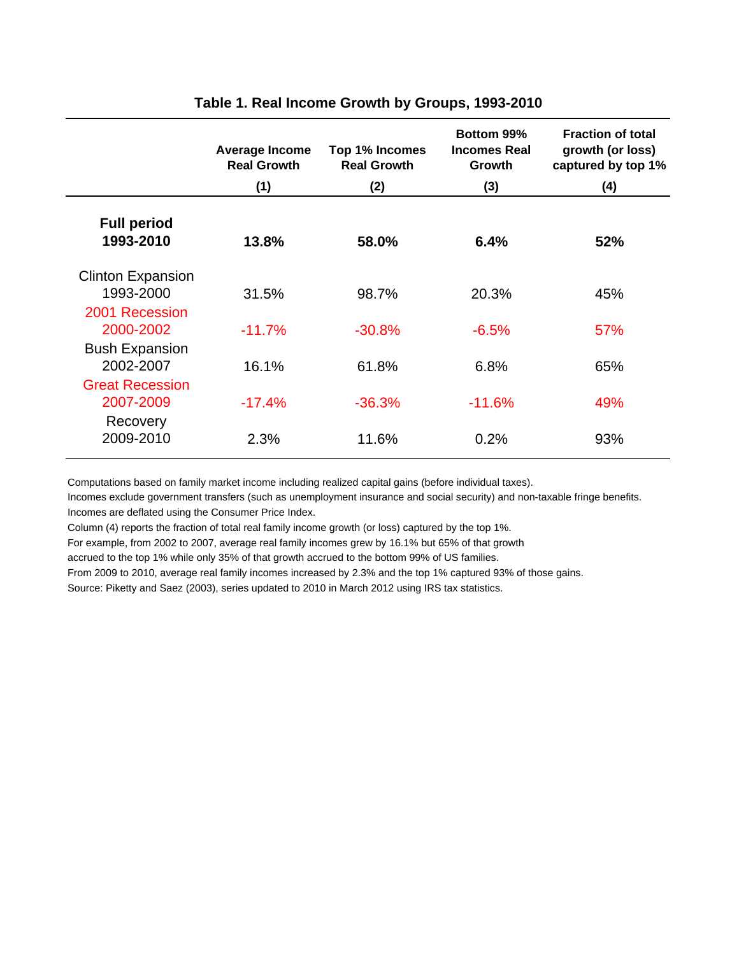|                                                              | <b>Average Income</b><br><b>Real Growth</b> | Top 1% Incomes<br><b>Real Growth</b> | Bottom 99%<br><b>Incomes Real</b><br>Growth | <b>Fraction of total</b><br>growth (or loss)<br>captured by top 1% |
|--------------------------------------------------------------|---------------------------------------------|--------------------------------------|---------------------------------------------|--------------------------------------------------------------------|
|                                                              | (1)                                         | (2)                                  | (3)                                         | (4)                                                                |
| <b>Full period</b><br>1993-2010                              | 13.8%                                       | 58.0%                                | 6.4%                                        | 52%                                                                |
| <b>Clinton Expansion</b><br>1993-2000<br>2001 Recession      | 31.5%                                       | 98.7%                                | 20.3%                                       | 45%                                                                |
| 2000-2002                                                    | $-11.7%$                                    | $-30.8%$                             | $-6.5%$                                     | 57%                                                                |
| <b>Bush Expansion</b><br>2002-2007<br><b>Great Recession</b> | 16.1%                                       | 61.8%                                | 6.8%                                        | 65%                                                                |
| 2007-2009<br>Recovery                                        | $-17.4%$                                    | $-36.3%$                             | $-11.6%$                                    | 49%                                                                |
| 2009-2010                                                    | 2.3%                                        | 11.6%                                | 0.2%                                        | 93%                                                                |

## **Table 1. Real Income Growth by Groups, 1993-2010**

Computations based on family market income including realized capital gains (before individual taxes).

Incomes exclude government transfers (such as unemployment insurance and social security) and non-taxable fringe benefits. Incomes are deflated using the Consumer Price Index.

Column (4) reports the fraction of total real family income growth (or loss) captured by the top 1%.

For example, from 2002 to 2007, average real family incomes grew by 16.1% but 65% of that growth

accrued to the top 1% while only 35% of that growth accrued to the bottom 99% of US families.

From 2009 to 2010, average real family incomes increased by 2.3% and the top 1% captured 93% of those gains.

Source: Piketty and Saez (2003), series updated to 2010 in March 2012 using IRS tax statistics.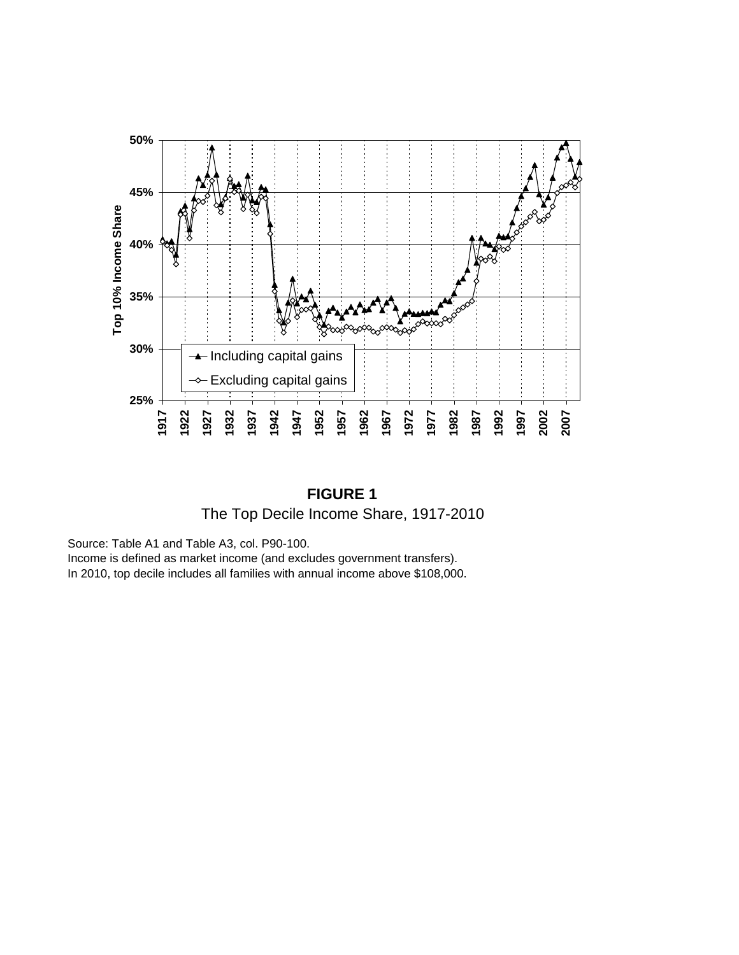

**FIGURE 1** The Top Decile Income Share, 1917-2010

Source: Table A1 and Table A3, col. P90-100. Income is defined as market income (and excludes government transfers).

In 2010, top decile includes all families with annual income above \$108,000.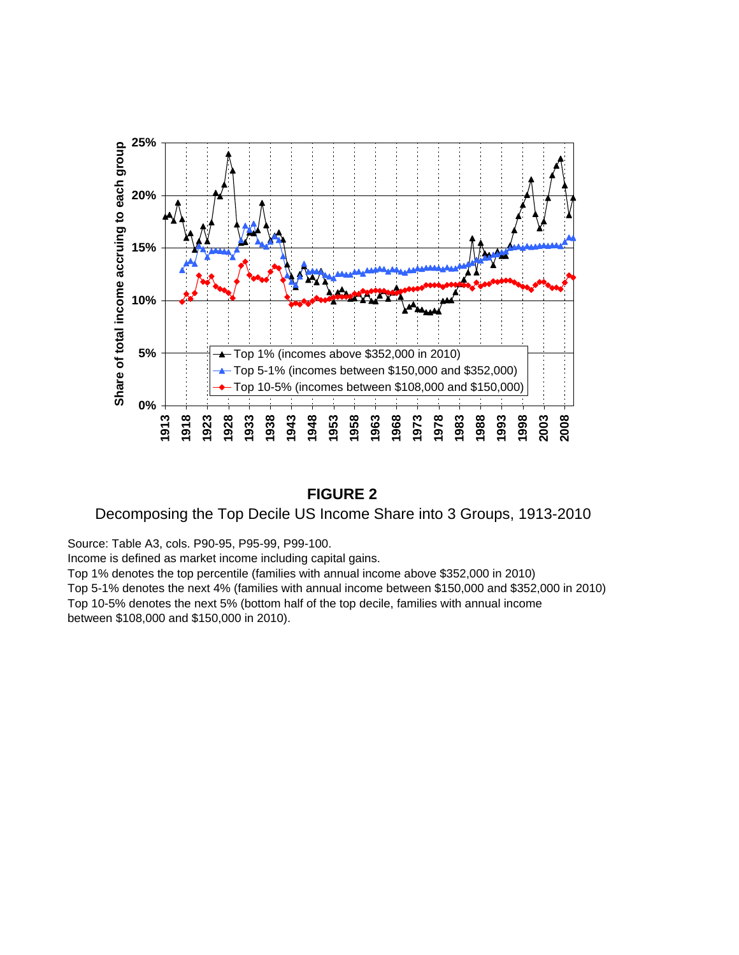

# **FIGURE 2**

Decomposing the Top Decile US Income Share into 3 Groups, 1913-2010

Source: Table A3, cols. P90-95, P95-99, P99-100.

Income is defined as market income including capital gains.

Top 1% denotes the top percentile (families with annual income above \$352,000 in 2010) Top 5-1% denotes the next 4% (families with annual income between \$150,000 and \$352,000 in 2010) Top 10-5% denotes the next 5% (bottom half of the top decile, families with annual income between \$108,000 and \$150,000 in 2010).